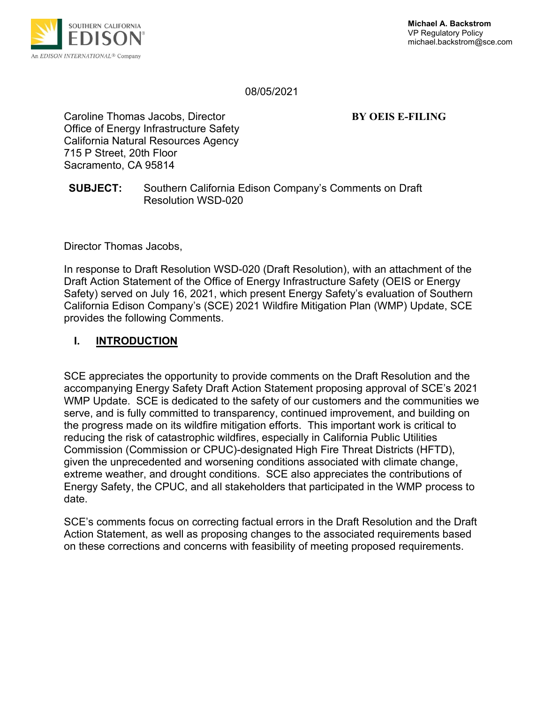

08/05/2021

Caroline Thomas Jacobs, Director **BY OEIS E-FILING** Office of Energy Infrastructure Safety California Natural Resources Agency 715 P Street, 20th Floor Sacramento, CA 95814

#### **SUBJECT:** Southern California Edison Company's Comments on Draft Resolution WSD-020

Director Thomas Jacobs,

In response to Draft Resolution WSD-020 (Draft Resolution), with an attachment of the Draft Action Statement of the Office of Energy Infrastructure Safety (OEIS or Energy Safety) served on July 16, 2021, which present Energy Safety's evaluation of Southern California Edison Company's (SCE) 2021 Wildfire Mitigation Plan (WMP) Update, SCE provides the following Comments.

## **I. INTRODUCTION**

SCE appreciates the opportunity to provide comments on the Draft Resolution and the accompanying Energy Safety Draft Action Statement proposing approval of SCE's 2021 WMP Update. SCE is dedicated to the safety of our customers and the communities we serve, and is fully committed to transparency, continued improvement, and building on the progress made on its wildfire mitigation efforts. This important work is critical to reducing the risk of catastrophic wildfires, especially in California Public Utilities Commission (Commission or CPUC)-designated High Fire Threat Districts (HFTD), given the unprecedented and worsening conditions associated with climate change, extreme weather, and drought conditions. SCE also appreciates the contributions of Energy Safety, the CPUC, and all stakeholders that participated in the WMP process to date.

SCE's comments focus on correcting factual errors in the Draft Resolution and the Draft Action Statement, as well as proposing changes to the associated requirements based on these corrections and concerns with feasibility of meeting proposed requirements.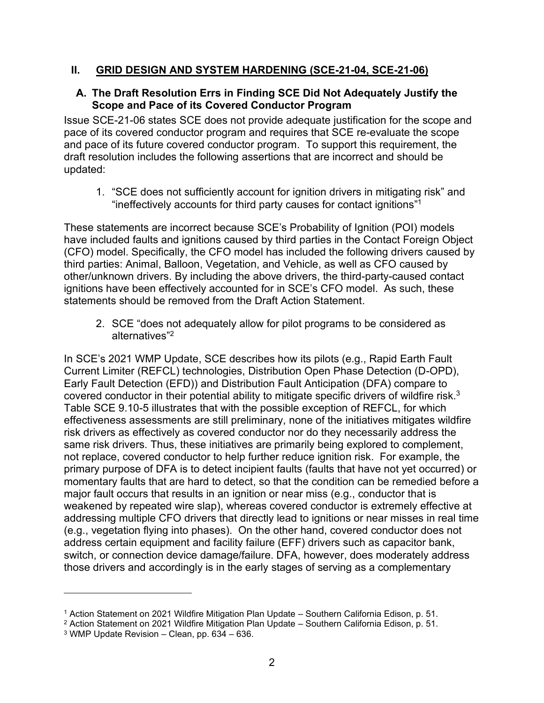#### **II. GRID DESIGN AND SYSTEM HARDENING (SCE-21-04, SCE-21-06)**

#### **A. The Draft Resolution Errs in Finding SCE Did Not Adequately Justify the Scope and Pace of its Covered Conductor Program**

Issue SCE-21-06 states SCE does not provide adequate justification for the scope and pace of its covered conductor program and requires that SCE re-evaluate the scope and pace of its future covered conductor program. To support this requirement, the draft resolution includes the following assertions that are incorrect and should be updated:

1. "SCE does not sufficiently account for ignition drivers in mitigating risk" and "ineffectively accounts for third party causes for contact ignitions" 1

These statements are incorrect because SCE's Probability of Ignition (POI) models have included faults and ignitions caused by third parties in the Contact Foreign Object (CFO) model. Specifically, the CFO model has included the following drivers caused by third parties: Animal, Balloon, Vegetation, and Vehicle, as well as CFO caused by other/unknown drivers. By including the above drivers, the third-party-caused contact ignitions have been effectively accounted for in SCE's CFO model. As such, these statements should be removed from the Draft Action Statement.

2. SCE "does not adequately allow for pilot programs to be considered as alternatives" 2

In SCE's 2021 WMP Update, SCE describes how its pilots (e.g., Rapid Earth Fault Current Limiter (REFCL) technologies, Distribution Open Phase Detection (D-OPD), Early Fault Detection (EFD)) and Distribution Fault Anticipation (DFA) compare to covered conductor in their potential ability to mitigate specific drivers of wildfire risk.<sup>3</sup> Table SCE 9.10-5 illustrates that with the possible exception of REFCL, for which effectiveness assessments are still preliminary, none of the initiatives mitigates wildfire risk drivers as effectively as covered conductor nor do they necessarily address the same risk drivers. Thus, these initiatives are primarily being explored to complement, not replace, covered conductor to help further reduce ignition risk. For example, the primary purpose of DFA is to detect incipient faults (faults that have not yet occurred) or momentary faults that are hard to detect, so that the condition can be remedied before a major fault occurs that results in an ignition or near miss (e.g., conductor that is weakened by repeated wire slap), whereas covered conductor is extremely effective at addressing multiple CFO drivers that directly lead to ignitions or near misses in real time (e.g., vegetation flying into phases). On the other hand, covered conductor does not address certain equipment and facility failure (EFF) drivers such as capacitor bank, switch, or connection device damage/failure. DFA, however, does moderately address those drivers and accordingly is in the early stages of serving as a complementary

<sup>1</sup> Action Statement on 2021 Wildfire Mitigation Plan Update – Southern California Edison, p. 51.

<sup>2</sup> Action Statement on 2021 Wildfire Mitigation Plan Update – Southern California Edison, p. 51.

<sup>3</sup> WMP Update Revision – Clean, pp. 634 – 636.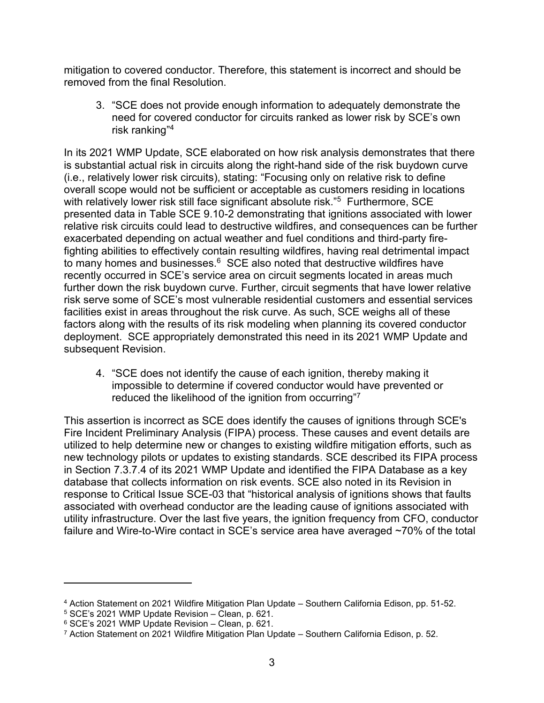mitigation to covered conductor. Therefore, this statement is incorrect and should be removed from the final Resolution.

3. "SCE does not provide enough information to adequately demonstrate the need for covered conductor for circuits ranked as lower risk by SCE's own risk ranking" 4

In its 2021 WMP Update, SCE elaborated on how risk analysis demonstrates that there is substantial actual risk in circuits along the right-hand side of the risk buydown curve (i.e., relatively lower risk circuits), stating: "Focusing only on relative risk to define overall scope would not be sufficient or acceptable as customers residing in locations with relatively lower risk still face significant absolute risk."<sup>5</sup> Furthermore, SCE presented data in Table SCE 9.10-2 demonstrating that ignitions associated with lower relative risk circuits could lead to destructive wildfires, and consequences can be further exacerbated depending on actual weather and fuel conditions and third-party firefighting abilities to effectively contain resulting wildfires, having real detrimental impact to many homes and businesses. $6$  SCE also noted that destructive wildfires have recently occurred in SCE's service area on circuit segments located in areas much further down the risk buydown curve. Further, circuit segments that have lower relative risk serve some of SCE's most vulnerable residential customers and essential services facilities exist in areas throughout the risk curve. As such, SCE weighs all of these factors along with the results of its risk modeling when planning its covered conductor deployment. SCE appropriately demonstrated this need in its 2021 WMP Update and subsequent Revision.

4. "SCE does not identify the cause of each ignition, thereby making it impossible to determine if covered conductor would have prevented or reduced the likelihood of the ignition from occurring"<sup>7</sup>

This assertion is incorrect as SCE does identify the causes of ignitions through SCE's Fire Incident Preliminary Analysis (FIPA) process. These causes and event details are utilized to help determine new or changes to existing wildfire mitigation efforts, such as new technology pilots or updates to existing standards. SCE described its FIPA process in Section 7.3.7.4 of its 2021 WMP Update and identified the FIPA Database as a key database that collects information on risk events. SCE also noted in its Revision in response to Critical Issue SCE-03 that "historical analysis of ignitions shows that faults associated with overhead conductor are the leading cause of ignitions associated with utility infrastructure. Over the last five years, the ignition frequency from CFO, conductor failure and Wire-to-Wire contact in SCE's service area have averaged ~70% of the total

<sup>4</sup> Action Statement on 2021 Wildfire Mitigation Plan Update – Southern California Edison, pp. 51-52.

 $5$  SCE's 2021 WMP Update Revision – Clean, p. 621.

<sup>6</sup> SCE's 2021 WMP Update Revision – Clean, p. 621.

<sup>7</sup> Action Statement on 2021 Wildfire Mitigation Plan Update – Southern California Edison, p. 52.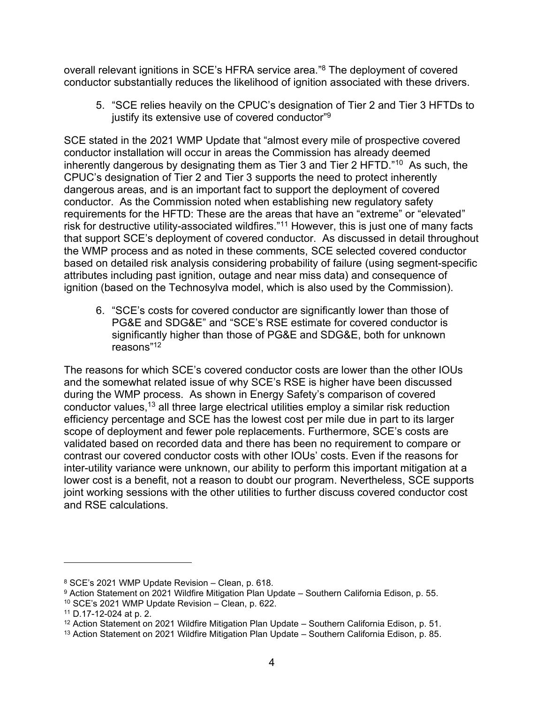overall relevant ignitions in SCE's HFRA service area." <sup>8</sup> The deployment of covered conductor substantially reduces the likelihood of ignition associated with these drivers.

5. "SCE relies heavily on the CPUC's designation of Tier 2 and Tier 3 HFTDs to justify its extensive use of covered conductor" $\rm ^9$ 

SCE stated in the 2021 WMP Update that "almost every mile of prospective covered conductor installation will occur in areas the Commission has already deemed inherently dangerous by designating them as Tier 3 and Tier 2 HFTD."<sup>10</sup> As such, the CPUC's designation of Tier 2 and Tier 3 supports the need to protect inherently dangerous areas, and is an important fact to support the deployment of covered conductor. As the Commission noted when establishing new regulatory safety requirements for the HFTD: These are the areas that have an "extreme" or "elevated" risk for destructive utility-associated wildfires."<sup>11</sup> However, this is just one of many facts that support SCE's deployment of covered conductor. As discussed in detail throughout the WMP process and as noted in these comments, SCE selected covered conductor based on detailed risk analysis considering probability of failure (using segment-specific attributes including past ignition, outage and near miss data) and consequence of ignition (based on the Technosylva model, which is also used by the Commission).

6. "SCE's costs for covered conductor are significantly lower than those of PG&E and SDG&E" and "SCE's RSE estimate for covered conductor is significantly higher than those of PG&E and SDG&E, both for unknown reasons" 12

The reasons for which SCE's covered conductor costs are lower than the other IOUs and the somewhat related issue of why SCE's RSE is higher have been discussed during the WMP process. As shown in Energy Safety's comparison of covered conductor values,<sup>13</sup> all three large electrical utilities employ a similar risk reduction efficiency percentage and SCE has the lowest cost per mile due in part to its larger scope of deployment and fewer pole replacements. Furthermore, SCE's costs are validated based on recorded data and there has been no requirement to compare or contrast our covered conductor costs with other IOUs' costs. Even if the reasons for inter-utility variance were unknown, our ability to perform this important mitigation at a lower cost is a benefit, not a reason to doubt our program. Nevertheless, SCE supports joint working sessions with the other utilities to further discuss covered conductor cost and RSE calculations.

<sup>8</sup> SCE's 2021 WMP Update Revision – Clean, p. 618.

<sup>9</sup> Action Statement on 2021 Wildfire Mitigation Plan Update – Southern California Edison, p. 55.

<sup>10</sup> SCE's 2021 WMP Update Revision – Clean, p. 622.

<sup>11</sup> D.17-12-024 at p. 2.

<sup>&</sup>lt;sup>12</sup> Action Statement on 2021 Wildfire Mitigation Plan Update – Southern California Edison, p. 51.

<sup>&</sup>lt;sup>13</sup> Action Statement on 2021 Wildfire Mitigation Plan Update – Southern California Edison, p. 85.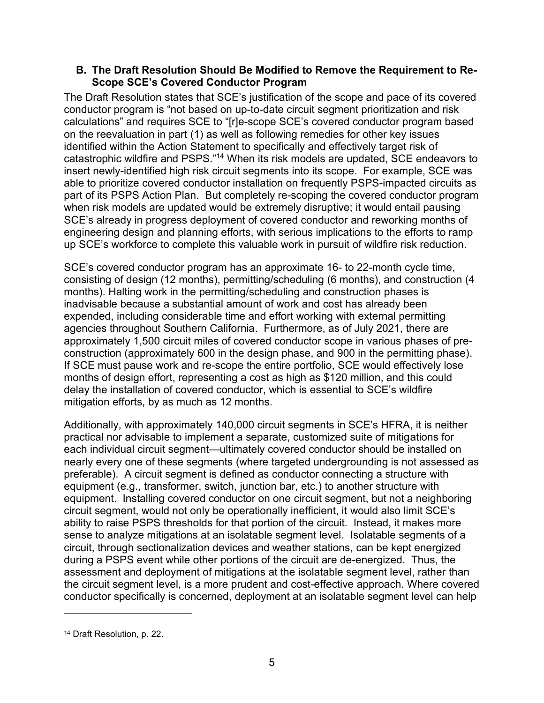#### **B. The Draft Resolution Should Be Modified to Remove the Requirement to Re-Scope SCE's Covered Conductor Program**

The Draft Resolution states that SCE's justification of the scope and pace of its covered conductor program is "not based on up-to-date circuit segment prioritization and risk calculations" and requires SCE to "[r]e-scope SCE's covered conductor program based on the reevaluation in part (1) as well as following remedies for other key issues identified within the Action Statement to specifically and effectively target risk of catastrophic wildfire and PSPS."<sup>14</sup> When its risk models are updated, SCE endeavors to insert newly-identified high risk circuit segments into its scope. For example, SCE was able to prioritize covered conductor installation on frequently PSPS-impacted circuits as part of its PSPS Action Plan. But completely re-scoping the covered conductor program when risk models are updated would be extremely disruptive; it would entail pausing SCE's already in progress deployment of covered conductor and reworking months of engineering design and planning efforts, with serious implications to the efforts to ramp up SCE's workforce to complete this valuable work in pursuit of wildfire risk reduction.

SCE's covered conductor program has an approximate 16- to 22-month cycle time, consisting of design (12 months), permitting/scheduling (6 months), and construction (4 months). Halting work in the permitting/scheduling and construction phases is inadvisable because a substantial amount of work and cost has already been expended, including considerable time and effort working with external permitting agencies throughout Southern California. Furthermore, as of July 2021, there are approximately 1,500 circuit miles of covered conductor scope in various phases of preconstruction (approximately 600 in the design phase, and 900 in the permitting phase). If SCE must pause work and re-scope the entire portfolio, SCE would effectively lose months of design effort, representing a cost as high as \$120 million, and this could delay the installation of covered conductor, which is essential to SCE's wildfire mitigation efforts, by as much as 12 months.

Additionally, with approximately 140,000 circuit segments in SCE's HFRA, it is neither practical nor advisable to implement a separate, customized suite of mitigations for each individual circuit segment—ultimately covered conductor should be installed on nearly every one of these segments (where targeted undergrounding is not assessed as preferable). A circuit segment is defined as conductor connecting a structure with equipment (e.g., transformer, switch, junction bar, etc.) to another structure with equipment. Installing covered conductor on one circuit segment, but not a neighboring circuit segment, would not only be operationally inefficient, it would also limit SCE's ability to raise PSPS thresholds for that portion of the circuit. Instead, it makes more sense to analyze mitigations at an isolatable segment level. Isolatable segments of a circuit, through sectionalization devices and weather stations, can be kept energized during a PSPS event while other portions of the circuit are de-energized. Thus, the assessment and deployment of mitigations at the isolatable segment level, rather than the circuit segment level, is a more prudent and cost-effective approach. Where covered conductor specifically is concerned, deployment at an isolatable segment level can help

<sup>14</sup> Draft Resolution, p. 22.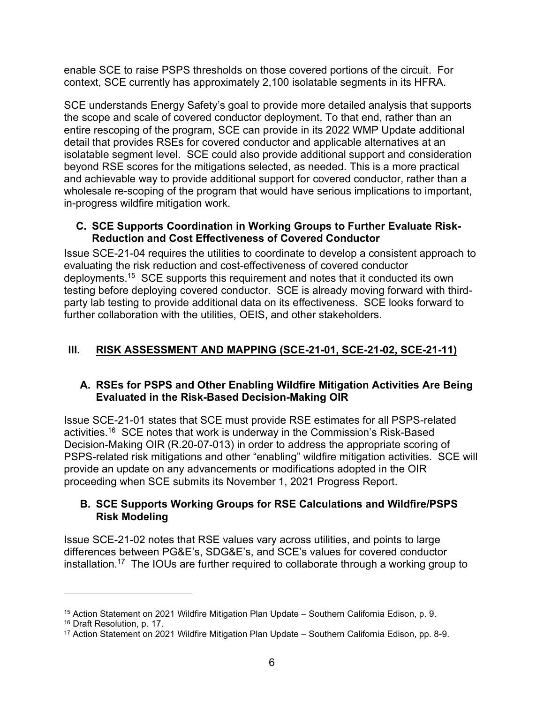enable SCE to raise PSPS thresholds on those covered portions of the circuit. For context, SCE currently has approximately 2,100 isolatable segments in its HFRA.

SCE understands Energy Safety's goal to provide more detailed analysis that supports the scope and scale of covered conductor deployment. To that end, rather than an entire rescoping of the program, SCE can provide in its 2022 WMP Update additional detail that provides RSEs for covered conductor and applicable alternatives at an isolatable segment level. SCE could also provide additional support and consideration beyond RSE scores for the mitigations selected, as needed. This is a more practical and achievable way to provide additional support for covered conductor, rather than a wholesale re-scoping of the program that would have serious implications to important, in-progress wildfire mitigation work.

#### **C. SCE Supports Coordination in Working Groups to Further Evaluate Risk-Reduction and Cost Effectiveness of Covered Conductor**

Issue SCE-21-04 requires the utilities to coordinate to develop a consistent approach to evaluating the risk reduction and cost-effectiveness of covered conductor deployments.<sup>15</sup> SCE supports this requirement and notes that it conducted its own testing before deploying covered conductor. SCE is already moving forward with thirdparty lab testing to provide additional data on its effectiveness. SCE looks forward to further collaboration with the utilities, OEIS, and other stakeholders.

# **III. RISK ASSESSMENT AND MAPPING (SCE-21-01, SCE-21-02, SCE-21-11)**

## **A. RSEs for PSPS and Other Enabling Wildfire Mitigation Activities Are Being Evaluated in the Risk-Based Decision-Making OIR**

Issue SCE-21-01 states that SCE must provide RSE estimates for all PSPS-related activities.<sup>16</sup> SCE notes that work is underway in the Commission's Risk-Based Decision-Making OIR (R.20-07-013) in order to address the appropriate scoring of PSPS-related risk mitigations and other "enabling" wildfire mitigation activities. SCE will provide an update on any advancements or modifications adopted in the OIR proceeding when SCE submits its November 1, 2021 Progress Report.

# **B. SCE Supports Working Groups for RSE Calculations and Wildfire/PSPS Risk Modeling**

Issue SCE-21-02 notes that RSE values vary across utilities, and points to large differences between PG&E's, SDG&E's, and SCE's values for covered conductor installation.<sup>17</sup> The IOUs are further required to collaborate through a working group to

<sup>&</sup>lt;sup>15</sup> Action Statement on 2021 Wildfire Mitigation Plan Update – Southern California Edison, p. 9.

<sup>16</sup> Draft Resolution, p. 17.

<sup>17</sup> Action Statement on 2021 Wildfire Mitigation Plan Update – Southern California Edison, pp. 8-9.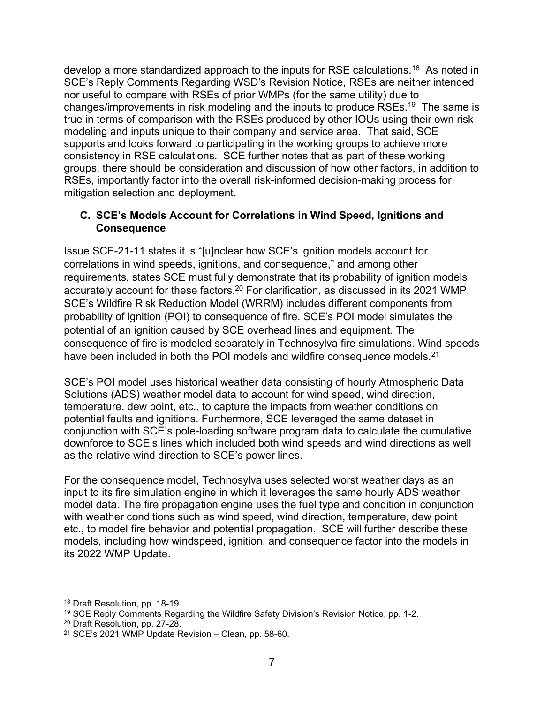develop a more standardized approach to the inputs for RSE calculations.<sup>18</sup> As noted in SCE's Reply Comments Regarding WSD's Revision Notice, RSEs are neither intended nor useful to compare with RSEs of prior WMPs (for the same utility) due to changes/improvements in risk modeling and the inputs to produce RSEs.<sup>19</sup> The same is true in terms of comparison with the RSEs produced by other IOUs using their own risk modeling and inputs unique to their company and service area. That said, SCE supports and looks forward to participating in the working groups to achieve more consistency in RSE calculations. SCE further notes that as part of these working groups, there should be consideration and discussion of how other factors, in addition to RSEs, importantly factor into the overall risk-informed decision-making process for mitigation selection and deployment.

## **C. SCE's Models Account for Correlations in Wind Speed, Ignitions and Consequence**

Issue SCE-21-11 states it is "[u]nclear how SCE's ignition models account for correlations in wind speeds, ignitions, and consequence," and among other requirements, states SCE must fully demonstrate that its probability of ignition models accurately account for these factors.<sup>20</sup> For clarification, as discussed in its 2021 WMP, SCE's Wildfire Risk Reduction Model (WRRM) includes different components from probability of ignition (POI) to consequence of fire. SCE's POI model simulates the potential of an ignition caused by SCE overhead lines and equipment. The consequence of fire is modeled separately in Technosylva fire simulations. Wind speeds have been included in both the POI models and wildfire consequence models.<sup>21</sup>

SCE's POI model uses historical weather data consisting of hourly Atmospheric Data Solutions (ADS) weather model data to account for wind speed, wind direction, temperature, dew point, etc., to capture the impacts from weather conditions on potential faults and ignitions. Furthermore, SCE leveraged the same dataset in conjunction with SCE's pole-loading software program data to calculate the cumulative downforce to SCE's lines which included both wind speeds and wind directions as well as the relative wind direction to SCE's power lines.

For the consequence model, Technosylva uses selected worst weather days as an input to its fire simulation engine in which it leverages the same hourly ADS weather model data. The fire propagation engine uses the fuel type and condition in conjunction with weather conditions such as wind speed, wind direction, temperature, dew point etc., to model fire behavior and potential propagation. SCE will further describe these models, including how windspeed, ignition, and consequence factor into the models in its 2022 WMP Update.

<sup>18</sup> Draft Resolution, pp. 18-19.

<sup>&</sup>lt;sup>19</sup> SCE Reply Comments Regarding the Wildfire Safety Division's Revision Notice, pp. 1-2.

<sup>20</sup> Draft Resolution, pp. 27-28.

<sup>21</sup> SCE's 2021 WMP Update Revision – Clean, pp. 58-60.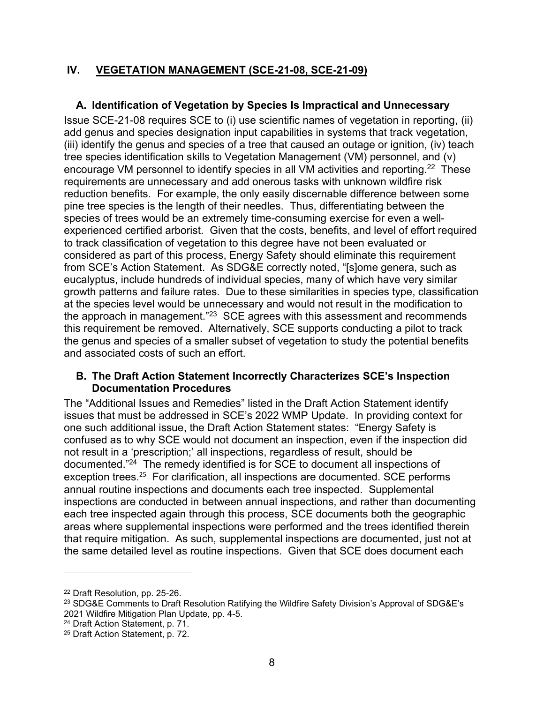#### **IV. VEGETATION MANAGEMENT (SCE-21-08, SCE-21-09)**

## **A. Identification of Vegetation by Species Is Impractical and Unnecessary**

Issue SCE-21-08 requires SCE to (i) use scientific names of vegetation in reporting, (ii) add genus and species designation input capabilities in systems that track vegetation, (iii) identify the genus and species of a tree that caused an outage or ignition, (iv) teach tree species identification skills to Vegetation Management (VM) personnel, and (v) encourage VM personnel to identify species in all VM activities and reporting.<sup>22</sup> These requirements are unnecessary and add onerous tasks with unknown wildfire risk reduction benefits. For example, the only easily discernable difference between some pine tree species is the length of their needles. Thus, differentiating between the species of trees would be an extremely time-consuming exercise for even a wellexperienced certified arborist. Given that the costs, benefits, and level of effort required to track classification of vegetation to this degree have not been evaluated or considered as part of this process, Energy Safety should eliminate this requirement from SCE's Action Statement. As SDG&E correctly noted, "[s]ome genera, such as eucalyptus, include hundreds of individual species, many of which have very similar growth patterns and failure rates. Due to these similarities in species type, classification at the species level would be unnecessary and would not result in the modification to the approach in management."<sup>23</sup> SCE agrees with this assessment and recommends this requirement be removed. Alternatively, SCE supports conducting a pilot to track the genus and species of a smaller subset of vegetation to study the potential benefits and associated costs of such an effort.

#### **B. The Draft Action Statement Incorrectly Characterizes SCE's Inspection Documentation Procedures**

The "Additional Issues and Remedies" listed in the Draft Action Statement identify issues that must be addressed in SCE's 2022 WMP Update. In providing context for one such additional issue, the Draft Action Statement states: "Energy Safety is confused as to why SCE would not document an inspection, even if the inspection did not result in a 'prescription;' all inspections, regardless of result, should be documented."<sup>24</sup> The remedy identified is for SCE to document all inspections of exception trees.<sup>25</sup> For clarification, all inspections are documented. SCE performs annual routine inspections and documents each tree inspected. Supplemental inspections are conducted in between annual inspections, and rather than documenting each tree inspected again through this process, SCE documents both the geographic areas where supplemental inspections were performed and the trees identified therein that require mitigation. As such, supplemental inspections are documented, just not at the same detailed level as routine inspections. Given that SCE does document each

<sup>24</sup> Draft Action Statement, p. 71.

<sup>22</sup> Draft Resolution, pp. 25-26.

<sup>&</sup>lt;sup>23</sup> SDG&E Comments to Draft Resolution Ratifying the Wildfire Safety Division's Approval of SDG&E's 2021 Wildfire Mitigation Plan Update, pp. 4-5.

<sup>25</sup> Draft Action Statement, p. 72.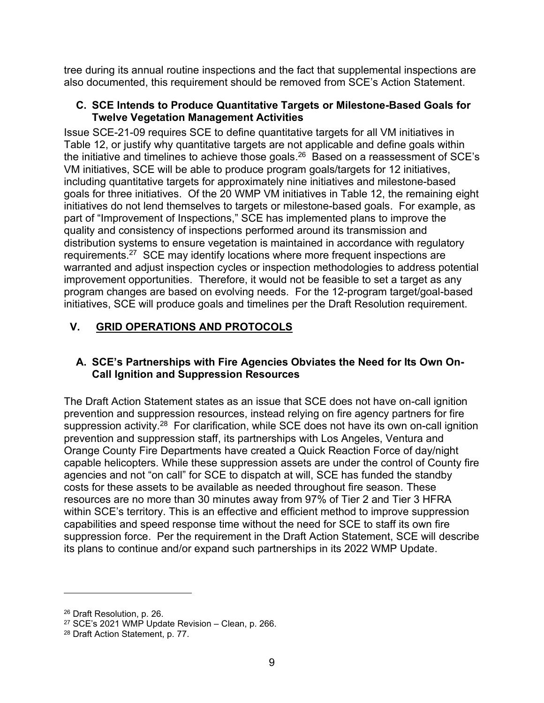tree during its annual routine inspections and the fact that supplemental inspections are also documented, this requirement should be removed from SCE's Action Statement.

#### **C. SCE Intends to Produce Quantitative Targets or Milestone-Based Goals for Twelve Vegetation Management Activities**

Issue SCE-21-09 requires SCE to define quantitative targets for all VM initiatives in Table 12, or justify why quantitative targets are not applicable and define goals within the initiative and timelines to achieve those goals. $^{26}$  Based on a reassessment of SCE's VM initiatives, SCE will be able to produce program goals/targets for 12 initiatives, including quantitative targets for approximately nine initiatives and milestone-based goals for three initiatives. Of the 20 WMP VM initiatives in Table 12, the remaining eight initiatives do not lend themselves to targets or milestone-based goals. For example, as part of "Improvement of Inspections," SCE has implemented plans to improve the quality and consistency of inspections performed around its transmission and distribution systems to ensure vegetation is maintained in accordance with regulatory requirements.<sup>27</sup> SCE may identify locations where more frequent inspections are warranted and adjust inspection cycles or inspection methodologies to address potential improvement opportunities. Therefore, it would not be feasible to set a target as any program changes are based on evolving needs. For the 12-program target/goal-based initiatives, SCE will produce goals and timelines per the Draft Resolution requirement.

# **V. GRID OPERATIONS AND PROTOCOLS**

#### **A. SCE's Partnerships with Fire Agencies Obviates the Need for Its Own On-Call Ignition and Suppression Resources**

The Draft Action Statement states as an issue that SCE does not have on-call ignition prevention and suppression resources, instead relying on fire agency partners for fire suppression activity.<sup>28</sup> For clarification, while SCE does not have its own on-call ignition prevention and suppression staff, its partnerships with Los Angeles, Ventura and Orange County Fire Departments have created a Quick Reaction Force of day/night capable helicopters. While these suppression assets are under the control of County fire agencies and not "on call" for SCE to dispatch at will, SCE has funded the standby costs for these assets to be available as needed throughout fire season. These resources are no more than 30 minutes away from 97% of Tier 2 and Tier 3 HFRA within SCE's territory. This is an effective and efficient method to improve suppression capabilities and speed response time without the need for SCE to staff its own fire suppression force. Per the requirement in the Draft Action Statement, SCE will describe its plans to continue and/or expand such partnerships in its 2022 WMP Update.

<sup>26</sup> Draft Resolution, p. 26.

 $27$  SCE's 2021 WMP Update Revision – Clean, p. 266.

<sup>28</sup> Draft Action Statement, p. 77.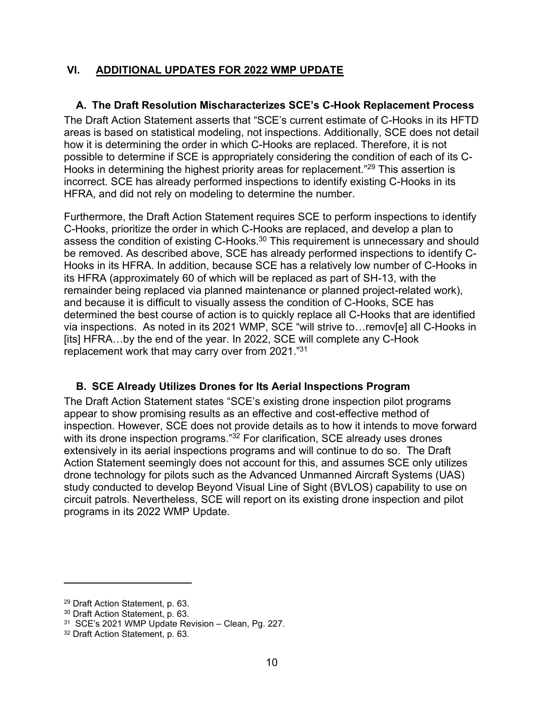# **VI. ADDITIONAL UPDATES FOR 2022 WMP UPDATE**

## **A. The Draft Resolution Mischaracterizes SCE's C-Hook Replacement Process**

The Draft Action Statement asserts that "SCE's current estimate of C-Hooks in its HFTD areas is based on statistical modeling, not inspections. Additionally, SCE does not detail how it is determining the order in which C-Hooks are replaced. Therefore, it is not possible to determine if SCE is appropriately considering the condition of each of its C-Hooks in determining the highest priority areas for replacement."<sup>29</sup> This assertion is incorrect. SCE has already performed inspections to identify existing C-Hooks in its HFRA, and did not rely on modeling to determine the number.

Furthermore, the Draft Action Statement requires SCE to perform inspections to identify C-Hooks, prioritize the order in which C-Hooks are replaced, and develop a plan to assess the condition of existing C-Hooks. $30$  This requirement is unnecessary and should be removed. As described above, SCE has already performed inspections to identify C-Hooks in its HFRA. In addition, because SCE has a relatively low number of C-Hooks in its HFRA (approximately 60 of which will be replaced as part of SH-13, with the remainder being replaced via planned maintenance or planned project-related work), and because it is difficult to visually assess the condition of C-Hooks, SCE has determined the best course of action is to quickly replace all C-Hooks that are identified via inspections. As noted in its 2021 WMP, SCE "will strive to…remov[e] all C-Hooks in [its] HFRA...by the end of the year. In 2022, SCE will complete any C-Hook replacement work that may carry over from 2021."<sup>31</sup>

## **B. SCE Already Utilizes Drones for Its Aerial Inspections Program**

The Draft Action Statement states "SCE's existing drone inspection pilot programs appear to show promising results as an effective and cost-effective method of inspection. However, SCE does not provide details as to how it intends to move forward with its drone inspection programs."<sup>32</sup> For clarification, SCE already uses drones extensively in its aerial inspections programs and will continue to do so. The Draft Action Statement seemingly does not account for this, and assumes SCE only utilizes drone technology for pilots such as the Advanced Unmanned Aircraft Systems (UAS) study conducted to develop Beyond Visual Line of Sight (BVLOS) capability to use on circuit patrols. Nevertheless, SCE will report on its existing drone inspection and pilot programs in its 2022 WMP Update.

<sup>29</sup> Draft Action Statement, p. 63.

<sup>30</sup> Draft Action Statement, p. 63.

<sup>31</sup> SCE's 2021 WMP Update Revision – Clean, Pg. 227.

<sup>32</sup> Draft Action Statement, p. 63.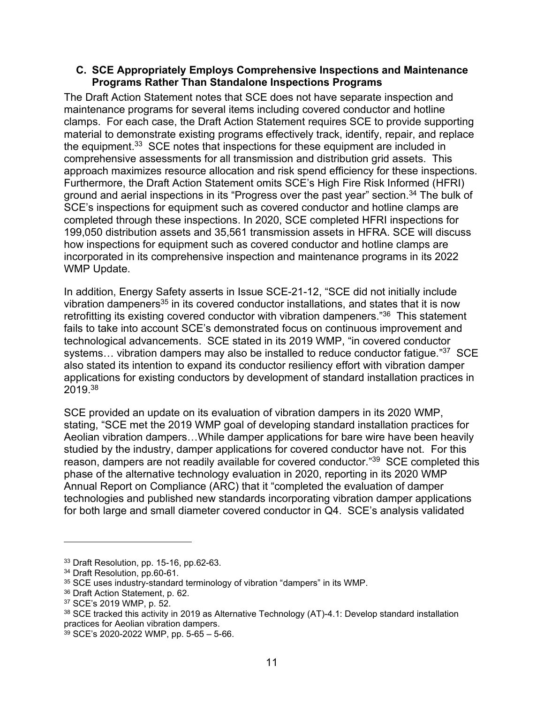#### **C. SCE Appropriately Employs Comprehensive Inspections and Maintenance Programs Rather Than Standalone Inspections Programs**

The Draft Action Statement notes that SCE does not have separate inspection and maintenance programs for several items including covered conductor and hotline clamps. For each case, the Draft Action Statement requires SCE to provide supporting material to demonstrate existing programs effectively track, identify, repair, and replace the equipment.<sup>33</sup> SCE notes that inspections for these equipment are included in comprehensive assessments for all transmission and distribution grid assets. This approach maximizes resource allocation and risk spend efficiency for these inspections. Furthermore, the Draft Action Statement omits SCE's High Fire Risk Informed (HFRI) ground and aerial inspections in its "Progress over the past year" section.<sup>34</sup> The bulk of SCE's inspections for equipment such as covered conductor and hotline clamps are completed through these inspections. In 2020, SCE completed HFRI inspections for 199,050 distribution assets and 35,561 transmission assets in HFRA. SCE will discuss how inspections for equipment such as covered conductor and hotline clamps are incorporated in its comprehensive inspection and maintenance programs in its 2022 WMP Update.

In addition, Energy Safety asserts in Issue SCE-21-12, "SCE did not initially include vibration dampeners<sup>35</sup> in its covered conductor installations, and states that it is now retrofitting its existing covered conductor with vibration dampeners."<sup>36</sup> This statement fails to take into account SCE's demonstrated focus on continuous improvement and technological advancements. SCE stated in its 2019 WMP, "in covered conductor systems... vibration dampers may also be installed to reduce conductor fatigue."<sup>37</sup> SCE also stated its intention to expand its conductor resiliency effort with vibration damper applications for existing conductors by development of standard installation practices in 2019.<sup>38</sup>

SCE provided an update on its evaluation of vibration dampers in its 2020 WMP, stating, "SCE met the 2019 WMP goal of developing standard installation practices for Aeolian vibration dampers…While damper applications for bare wire have been heavily studied by the industry, damper applications for covered conductor have not. For this reason, dampers are not readily available for covered conductor."<sup>39</sup> SCE completed this phase of the alternative technology evaluation in 2020, reporting in its 2020 WMP Annual Report on Compliance (ARC) that it "completed the evaluation of damper technologies and published new standards incorporating vibration damper applications for both large and small diameter covered conductor in Q4. SCE's analysis validated

<sup>33</sup> Draft Resolution, pp. 15-16, pp.62-63.

<sup>34</sup> Draft Resolution, pp.60-61.

<sup>&</sup>lt;sup>35</sup> SCE uses industry-standard terminology of vibration "dampers" in its WMP.

<sup>36</sup> Draft Action Statement, p. 62.

<sup>37</sup> SCE's 2019 WMP, p. 52.

<sup>38</sup> SCE tracked this activity in 2019 as Alternative Technology (AT)-4.1: Develop standard installation practices for Aeolian vibration dampers.

<sup>39</sup> SCE's 2020-2022 WMP, pp. 5-65 – 5-66.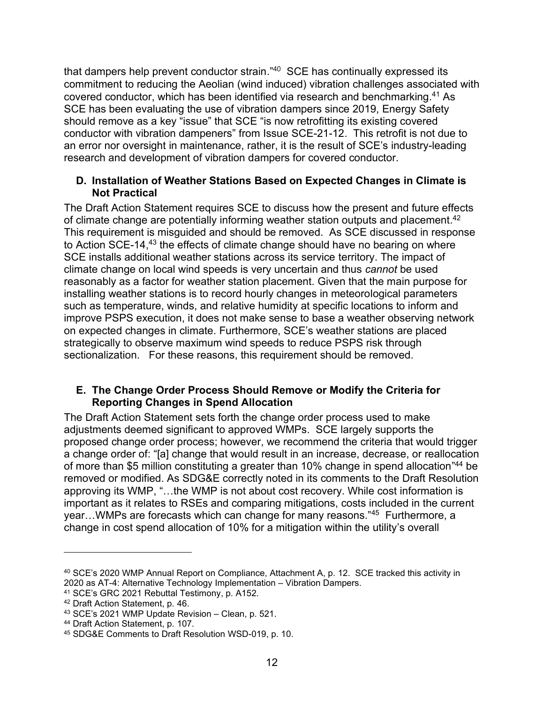that dampers help prevent conductor strain."<sup>40</sup> SCE has continually expressed its commitment to reducing the Aeolian (wind induced) vibration challenges associated with covered conductor, which has been identified via research and benchmarking. <sup>41</sup> As SCE has been evaluating the use of vibration dampers since 2019, Energy Safety should remove as a key "issue" that SCE "is now retrofitting its existing covered conductor with vibration dampeners" from Issue SCE-21-12. This retrofit is not due to an error nor oversight in maintenance, rather, it is the result of SCE's industry-leading research and development of vibration dampers for covered conductor.

#### **D. Installation of Weather Stations Based on Expected Changes in Climate is Not Practical**

The Draft Action Statement requires SCE to discuss how the present and future effects of climate change are potentially informing weather station outputs and placement.<sup>42</sup> This requirement is misguided and should be removed. As SCE discussed in response to Action SCE-14, <sup>43</sup> the effects of climate change should have no bearing on where SCE installs additional weather stations across its service territory. The impact of climate change on local wind speeds is very uncertain and thus *cannot* be used reasonably as a factor for weather station placement. Given that the main purpose for installing weather stations is to record hourly changes in meteorological parameters such as temperature, winds, and relative humidity at specific locations to inform and improve PSPS execution, it does not make sense to base a weather observing network on expected changes in climate. Furthermore, SCE's weather stations are placed strategically to observe maximum wind speeds to reduce PSPS risk through sectionalization. For these reasons, this requirement should be removed.

## **E. The Change Order Process Should Remove or Modify the Criteria for Reporting Changes in Spend Allocation**

The Draft Action Statement sets forth the change order process used to make adjustments deemed significant to approved WMPs. SCE largely supports the proposed change order process; however, we recommend the criteria that would trigger a change order of: "[a] change that would result in an increase, decrease, or reallocation of more than \$5 million constituting a greater than 10% change in spend allocation"<sup>44</sup> be removed or modified. As SDG&E correctly noted in its comments to the Draft Resolution approving its WMP, "…the WMP is not about cost recovery. While cost information is important as it relates to RSEs and comparing mitigations, costs included in the current year…WMPs are forecasts which can change for many reasons."<sup>45</sup> Furthermore, a change in cost spend allocation of 10% for a mitigation within the utility's overall

<sup>40</sup> SCE's 2020 WMP Annual Report on Compliance, Attachment A, p. 12. SCE tracked this activity in 2020 as AT-4: Alternative Technology Implementation – Vibration Dampers.

<sup>41</sup> SCE's GRC 2021 Rebuttal Testimony, p. A152.

<sup>42</sup> Draft Action Statement, p. 46.

<sup>43</sup> SCE's 2021 WMP Update Revision – Clean, p. 521.

<sup>44</sup> Draft Action Statement, p. 107.

<sup>45</sup> SDG&E Comments to Draft Resolution WSD-019, p. 10.